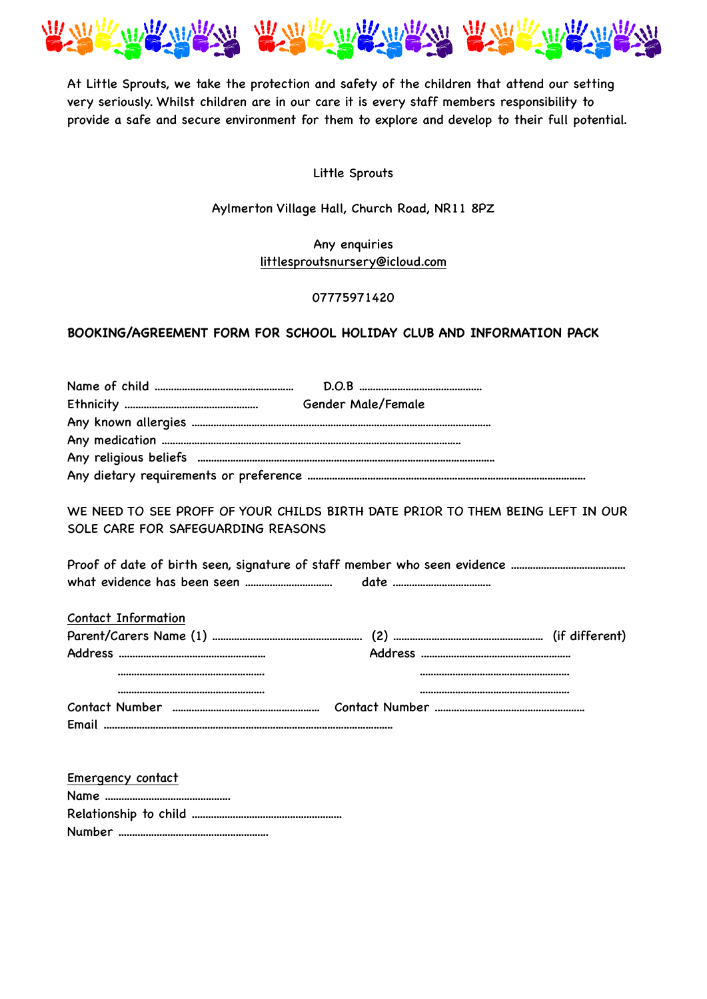

At Little Sprouts, we take the protection and safety of the children that attend our setting very seriously. Whilst children are in our care it is every staff members responsibility to provide a safe and secure environment for them to explore and develop to their full potential.

## Little Sprouts

Aylmerton Village Hall, Church Road, NR11 8PZ

Any enquiries [littlesproutsnursery@icloud.com](mailto:littlesproutsnursery@icloud.com)

### 07775971420

# **BOOKING/AGREEMENT FORM FOR SCHOOL HOLIDAY CLUB AND INFORMATION PACK**

| WE NEED TO SEE PROFF OF YOUR CHILDS BIRTH DATE PRIOR TO THEM BEING LEFT IN OUR<br>SOLE CARE FOR SAFEGUARDING REASONS |
|----------------------------------------------------------------------------------------------------------------------|
|                                                                                                                      |
| Contact Information                                                                                                  |
|                                                                                                                      |
|                                                                                                                      |
|                                                                                                                      |
|                                                                                                                      |
|                                                                                                                      |
|                                                                                                                      |
|                                                                                                                      |
| Emergency contact                                                                                                    |

| <b>Elliel Gelley Colliant</b> |
|-------------------------------|
|                               |
|                               |
|                               |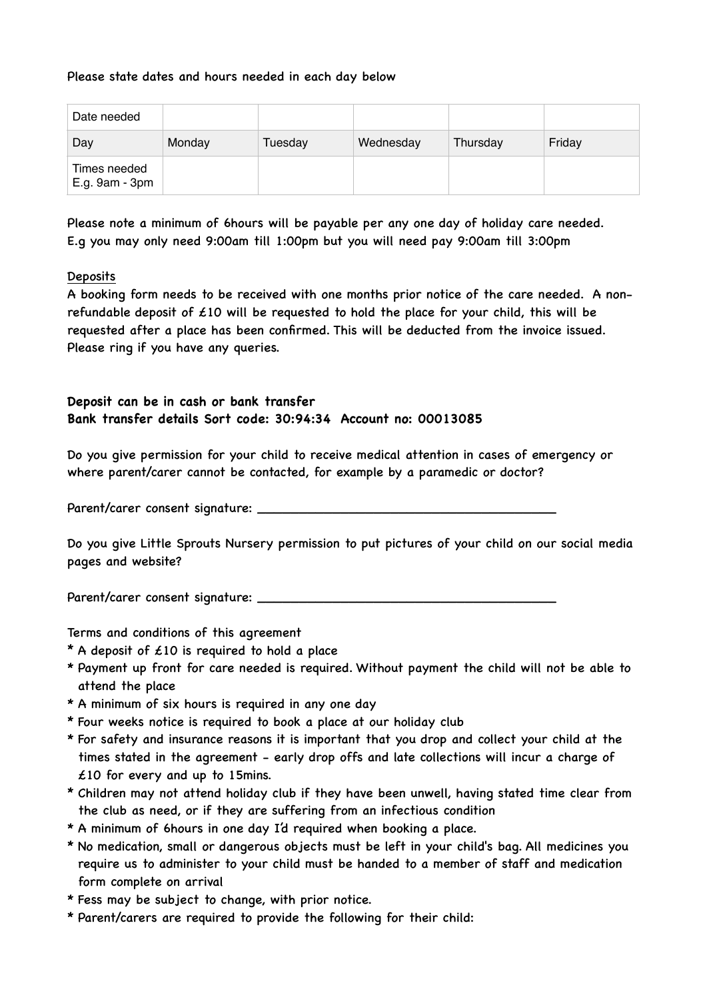## Please state dates and hours needed in each day below

| Date needed                    |        |         |           |          |        |
|--------------------------------|--------|---------|-----------|----------|--------|
| Day                            | Monday | Tuesday | Wednesday | Thursday | Friday |
| Times needed<br>E.g. 9am - 3pm |        |         |           |          |        |

Please note a minimum of 6hours will be payable per any one day of holiday care needed. E.g you may only need 9:00am till 1:00pm but you will need pay 9:00am till 3:00pm

### **Deposits**

A booking form needs to be received with one months prior notice of the care needed. A nonrefundable deposit of  $\angle 10$  will be requested to hold the place for your child, this will be requested after a place has been confirmed. This will be deducted from the invoice issued. Please ring if you have any queries.

# **Deposit can be in cash or bank transfer Bank transfer details Sort code: 30:94:34 Account no: 00013085**

Do you give permission for your child to receive medical attention in cases of emergency or where parent/carer cannot be contacted, for example by a paramedic or doctor?

Parent/carer consent signature: \_\_\_\_\_\_\_\_\_\_\_\_\_\_\_\_\_\_\_\_\_\_\_\_\_\_\_\_\_\_\_\_\_\_\_\_

Do you give Little Sprouts Nursery permission to put pictures of your child on our social media pages and website?

Parent/carer consent signature: \_\_\_\_\_\_\_\_\_\_\_\_\_\_\_\_\_\_\_\_\_\_\_\_\_\_\_\_\_\_\_\_\_\_\_\_

Terms and conditions of this agreement

- \* A deposit of  $£10$  is required to hold a place
- \* Payment up front for care needed is required. Without payment the child will not be able to attend the place
- \* A minimum of six hours is required in any one day
- \* Four weeks notice is required to book a place at our holiday club
- \* For safety and insurance reasons it is important that you drop and collect your child at the times stated in the agreement - early drop offs and late collections will incur a charge of £10 for every and up to 15mins.
- \* Children may not attend holiday club if they have been unwell, having stated time clear from the club as need, or if they are suffering from an infectious condition
- \* A minimum of 6hours in one day I'd required when booking a place.
- \* No medication, small or dangerous objects must be left in your child's bag. All medicines you require us to administer to your child must be handed to a member of staff and medication form complete on arrival
- \* Fess may be subject to change, with prior notice.
- \* Parent/carers are required to provide the following for their child: